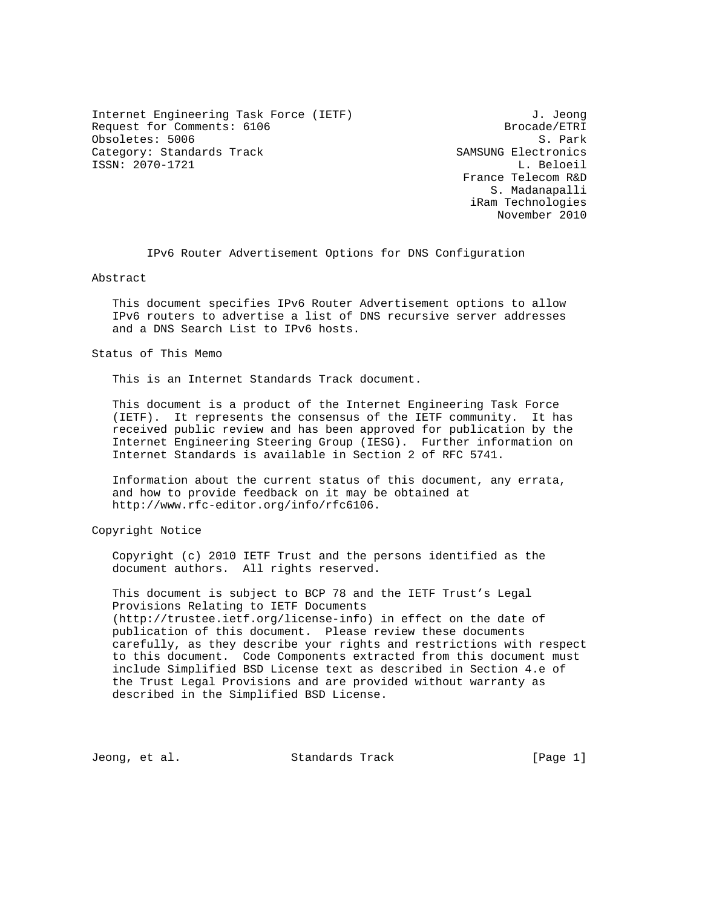Internet Engineering Task Force (IETF) 3. Jeong Request for Comments: 6106 Brocade/ETRI Obsoletes: 5006 S. Park<br>Category: Standards Track Samsung Electronics Category: Standards Track ISSN: 2070-1721 L. Beloeil

 France Telecom R&D S. Madanapalli iRam Technologies November 2010

IPv6 Router Advertisement Options for DNS Configuration

Abstract

 This document specifies IPv6 Router Advertisement options to allow IPv6 routers to advertise a list of DNS recursive server addresses and a DNS Search List to IPv6 hosts.

Status of This Memo

This is an Internet Standards Track document.

 This document is a product of the Internet Engineering Task Force (IETF). It represents the consensus of the IETF community. It has received public review and has been approved for publication by the Internet Engineering Steering Group (IESG). Further information on Internet Standards is available in Section 2 of RFC 5741.

 Information about the current status of this document, any errata, and how to provide feedback on it may be obtained at http://www.rfc-editor.org/info/rfc6106.

Copyright Notice

 Copyright (c) 2010 IETF Trust and the persons identified as the document authors. All rights reserved.

 This document is subject to BCP 78 and the IETF Trust's Legal Provisions Relating to IETF Documents (http://trustee.ietf.org/license-info) in effect on the date of publication of this document. Please review these documents carefully, as they describe your rights and restrictions with respect to this document. Code Components extracted from this document must include Simplified BSD License text as described in Section 4.e of the Trust Legal Provisions and are provided without warranty as described in the Simplified BSD License.

Jeong, et al. Standards Track [Page 1]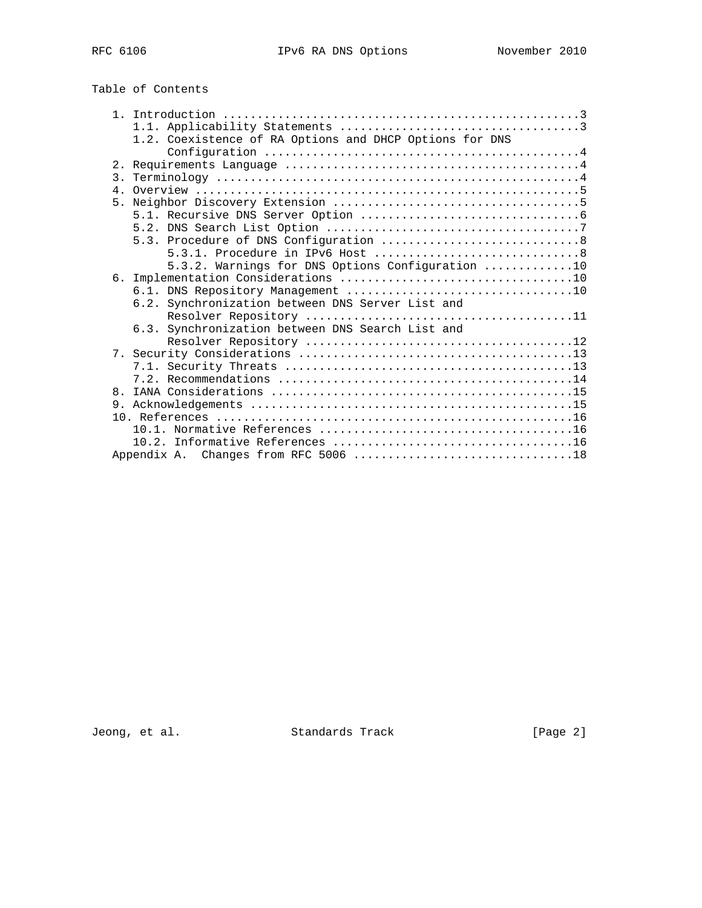Table of Contents

|                | 1.2. Coexistence of RA Options and DHCP Options for DNS |
|----------------|---------------------------------------------------------|
|                |                                                         |
|                |                                                         |
| 3.             |                                                         |
|                |                                                         |
| 5.             |                                                         |
|                |                                                         |
|                |                                                         |
|                |                                                         |
|                |                                                         |
|                | 5.3.2. Warnings for DNS Options Configuration 10        |
|                |                                                         |
|                |                                                         |
|                |                                                         |
|                | 6.2. Synchronization between DNS Server List and        |
|                |                                                         |
|                | 6.3. Synchronization between DNS Search List and        |
|                |                                                         |
|                |                                                         |
|                |                                                         |
|                |                                                         |
| 8 <sub>1</sub> |                                                         |
|                |                                                         |
|                |                                                         |
|                |                                                         |
|                |                                                         |
|                |                                                         |

Jeong, et al. Standards Track [Page 2]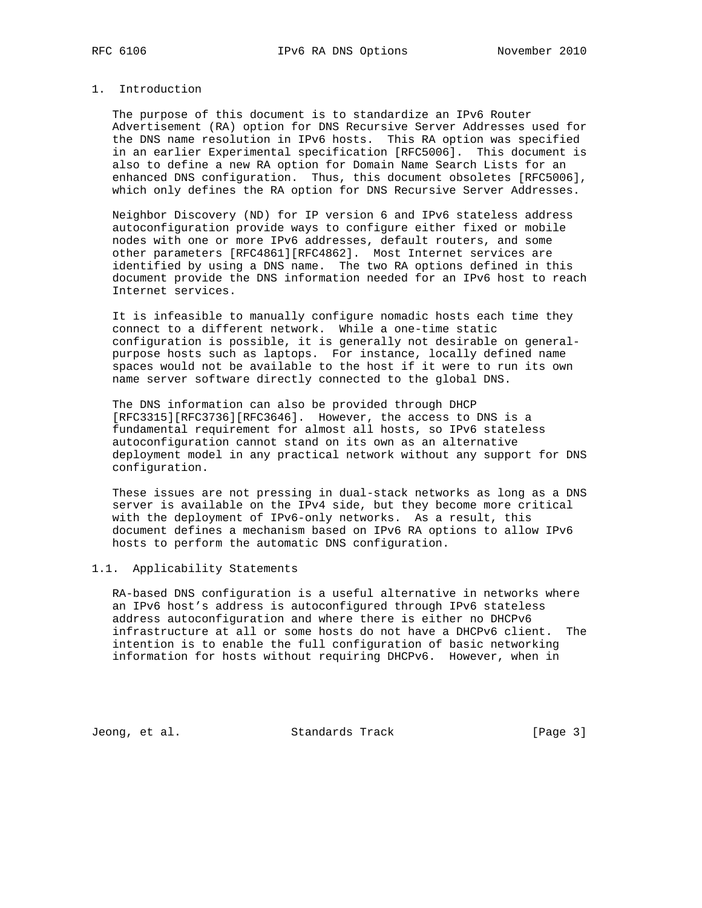# 1. Introduction

 The purpose of this document is to standardize an IPv6 Router Advertisement (RA) option for DNS Recursive Server Addresses used for the DNS name resolution in IPv6 hosts. This RA option was specified in an earlier Experimental specification [RFC5006]. This document is also to define a new RA option for Domain Name Search Lists for an enhanced DNS configuration. Thus, this document obsoletes [RFC5006], which only defines the RA option for DNS Recursive Server Addresses.

 Neighbor Discovery (ND) for IP version 6 and IPv6 stateless address autoconfiguration provide ways to configure either fixed or mobile nodes with one or more IPv6 addresses, default routers, and some other parameters [RFC4861][RFC4862]. Most Internet services are identified by using a DNS name. The two RA options defined in this document provide the DNS information needed for an IPv6 host to reach Internet services.

 It is infeasible to manually configure nomadic hosts each time they connect to a different network. While a one-time static configuration is possible, it is generally not desirable on general purpose hosts such as laptops. For instance, locally defined name spaces would not be available to the host if it were to run its own name server software directly connected to the global DNS.

 The DNS information can also be provided through DHCP [RFC3315][RFC3736][RFC3646]. However, the access to DNS is a fundamental requirement for almost all hosts, so IPv6 stateless autoconfiguration cannot stand on its own as an alternative deployment model in any practical network without any support for DNS configuration.

 These issues are not pressing in dual-stack networks as long as a DNS server is available on the IPv4 side, but they become more critical with the deployment of IPv6-only networks. As a result, this document defines a mechanism based on IPv6 RA options to allow IPv6 hosts to perform the automatic DNS configuration.

# 1.1. Applicability Statements

 RA-based DNS configuration is a useful alternative in networks where an IPv6 host's address is autoconfigured through IPv6 stateless address autoconfiguration and where there is either no DHCPv6 infrastructure at all or some hosts do not have a DHCPv6 client. The intention is to enable the full configuration of basic networking information for hosts without requiring DHCPv6. However, when in

Jeong, et al. Standards Track [Page 3]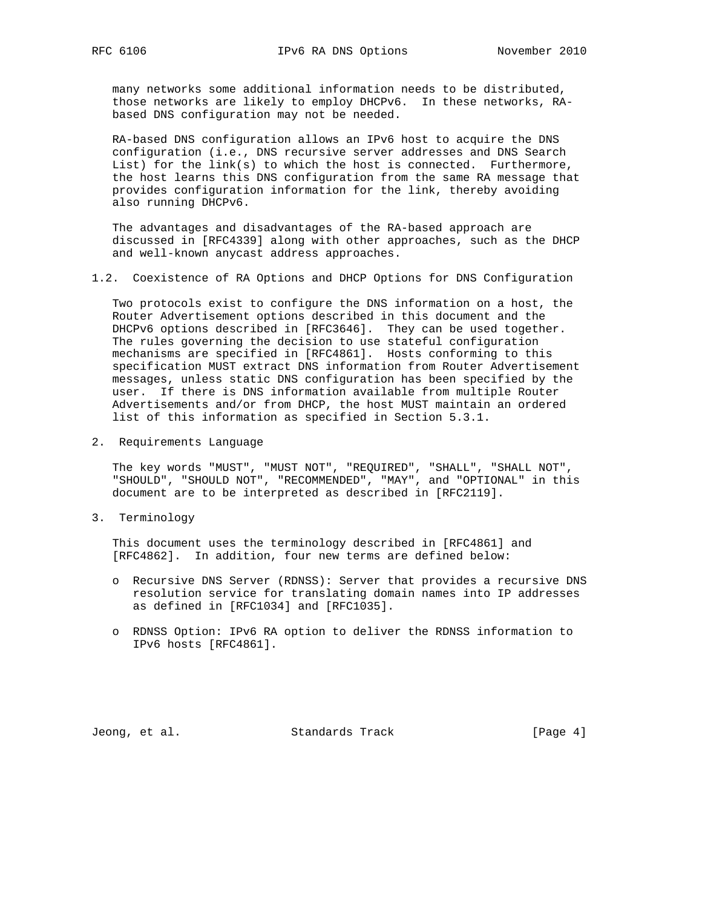many networks some additional information needs to be distributed, those networks are likely to employ DHCPv6. In these networks, RA based DNS configuration may not be needed.

 RA-based DNS configuration allows an IPv6 host to acquire the DNS configuration (i.e., DNS recursive server addresses and DNS Search List) for the link(s) to which the host is connected. Furthermore, the host learns this DNS configuration from the same RA message that provides configuration information for the link, thereby avoiding also running DHCPv6.

 The advantages and disadvantages of the RA-based approach are discussed in [RFC4339] along with other approaches, such as the DHCP and well-known anycast address approaches.

1.2. Coexistence of RA Options and DHCP Options for DNS Configuration

 Two protocols exist to configure the DNS information on a host, the Router Advertisement options described in this document and the DHCPv6 options described in [RFC3646]. They can be used together. The rules governing the decision to use stateful configuration mechanisms are specified in [RFC4861]. Hosts conforming to this specification MUST extract DNS information from Router Advertisement messages, unless static DNS configuration has been specified by the user. If there is DNS information available from multiple Router Advertisements and/or from DHCP, the host MUST maintain an ordered list of this information as specified in Section 5.3.1.

2. Requirements Language

 The key words "MUST", "MUST NOT", "REQUIRED", "SHALL", "SHALL NOT", "SHOULD", "SHOULD NOT", "RECOMMENDED", "MAY", and "OPTIONAL" in this document are to be interpreted as described in [RFC2119].

3. Terminology

 This document uses the terminology described in [RFC4861] and [RFC4862]. In addition, four new terms are defined below:

- o Recursive DNS Server (RDNSS): Server that provides a recursive DNS resolution service for translating domain names into IP addresses as defined in [RFC1034] and [RFC1035].
- o RDNSS Option: IPv6 RA option to deliver the RDNSS information to IPv6 hosts [RFC4861].

Jeong, et al. Standards Track [Page 4]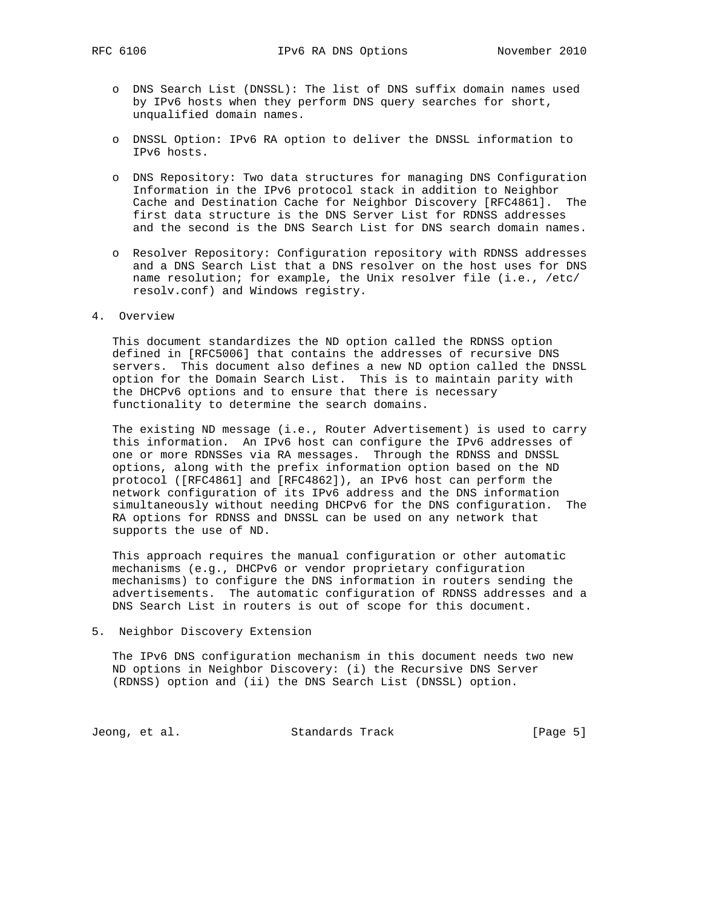- o DNS Search List (DNSSL): The list of DNS suffix domain names used by IPv6 hosts when they perform DNS query searches for short, unqualified domain names.
- o DNSSL Option: IPv6 RA option to deliver the DNSSL information to IPv6 hosts.
- o DNS Repository: Two data structures for managing DNS Configuration Information in the IPv6 protocol stack in addition to Neighbor Cache and Destination Cache for Neighbor Discovery [RFC4861]. The first data structure is the DNS Server List for RDNSS addresses and the second is the DNS Search List for DNS search domain names.
- o Resolver Repository: Configuration repository with RDNSS addresses and a DNS Search List that a DNS resolver on the host uses for DNS name resolution; for example, the Unix resolver file (i.e., /etc/ resolv.conf) and Windows registry.

#### 4. Overview

 This document standardizes the ND option called the RDNSS option defined in [RFC5006] that contains the addresses of recursive DNS servers. This document also defines a new ND option called the DNSSL option for the Domain Search List. This is to maintain parity with the DHCPv6 options and to ensure that there is necessary functionality to determine the search domains.

 The existing ND message (i.e., Router Advertisement) is used to carry this information. An IPv6 host can configure the IPv6 addresses of one or more RDNSSes via RA messages. Through the RDNSS and DNSSL options, along with the prefix information option based on the ND protocol ([RFC4861] and [RFC4862]), an IPv6 host can perform the network configuration of its IPv6 address and the DNS information simultaneously without needing DHCPv6 for the DNS configuration. The RA options for RDNSS and DNSSL can be used on any network that supports the use of ND.

 This approach requires the manual configuration or other automatic mechanisms (e.g., DHCPv6 or vendor proprietary configuration mechanisms) to configure the DNS information in routers sending the advertisements. The automatic configuration of RDNSS addresses and a DNS Search List in routers is out of scope for this document.

5. Neighbor Discovery Extension

 The IPv6 DNS configuration mechanism in this document needs two new ND options in Neighbor Discovery: (i) the Recursive DNS Server (RDNSS) option and (ii) the DNS Search List (DNSSL) option.

Jeong, et al. Standards Track [Page 5]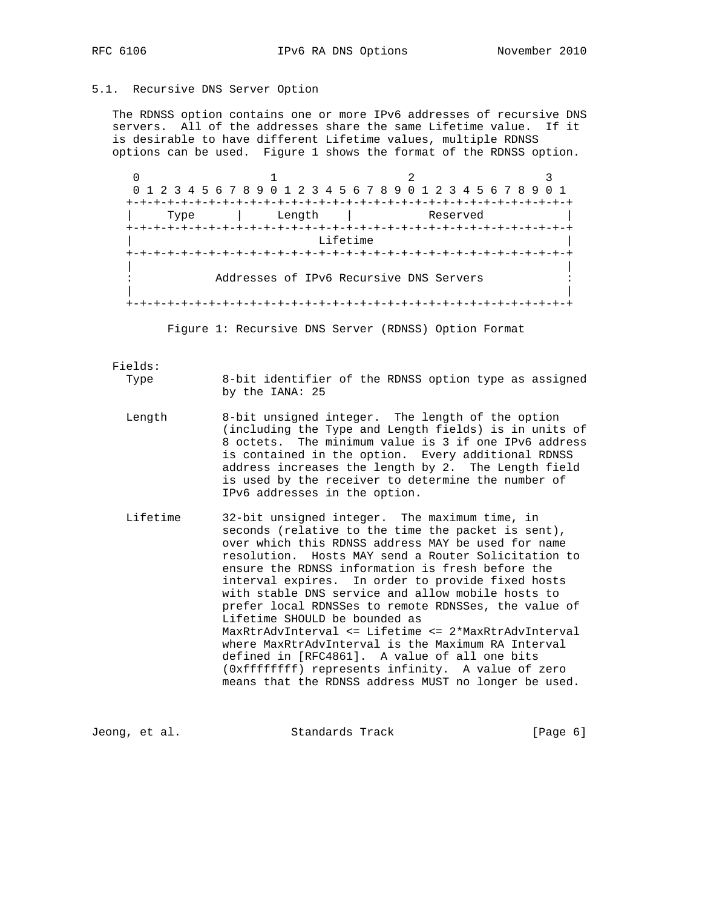### 5.1. Recursive DNS Server Option

 The RDNSS option contains one or more IPv6 addresses of recursive DNS servers. All of the addresses share the same Lifetime value. If it is desirable to have different Lifetime values, multiple RDNSS options can be used. Figure 1 shows the format of the RDNSS option.

0  $1$   $2$   $3$  0 1 2 3 4 5 6 7 8 9 0 1 2 3 4 5 6 7 8 9 0 1 2 3 4 5 6 7 8 9 0 1 +-+-+-+-+-+-+-+-+-+-+-+-+-+-+-+-+-+-+-+-+-+-+-+-+-+-+-+-+-+-+-+-+ | Type | Length | Reserved | +-+-+-+-+-+-+-+-+-+-+-+-+-+-+-+-+-+-+-+-+-+-+-+-+-+-+-+-+-+-+-+-+ Lifetime +-+-+-+-+-+-+-+-+-+-+-+-+-+-+-+-+-+-+-+-+-+-+-+-+-+-+-+-+-+-+-+-+ | | Addresses of IPv6 Recursive DNS Servers | | +-+-+-+-+-+-+-+-+-+-+-+-+-+-+-+-+-+-+-+-+-+-+-+-+-+-+-+-+-+-+-+-+

Figure 1: Recursive DNS Server (RDNSS) Option Format

Fields:

 Type 8-bit identifier of the RDNSS option type as assigned by the IANA: 25

- Length 8-bit unsigned integer. The length of the option (including the Type and Length fields) is in units of 8 octets. The minimum value is 3 if one IPv6 address is contained in the option. Every additional RDNSS address increases the length by 2. The Length field is used by the receiver to determine the number of IPv6 addresses in the option.
- Lifetime 32-bit unsigned integer. The maximum time, in seconds (relative to the time the packet is sent), over which this RDNSS address MAY be used for name resolution. Hosts MAY send a Router Solicitation to ensure the RDNSS information is fresh before the interval expires. In order to provide fixed hosts with stable DNS service and allow mobile hosts to prefer local RDNSSes to remote RDNSSes, the value of Lifetime SHOULD be bounded as MaxRtrAdvInterval <= Lifetime <= 2\*MaxRtrAdvInterval where MaxRtrAdvInterval is the Maximum RA Interval defined in [RFC4861]. A value of all one bits (0xffffffff) represents infinity. A value of zero means that the RDNSS address MUST no longer be used.

Jeong, et al. Standards Track [Page 6]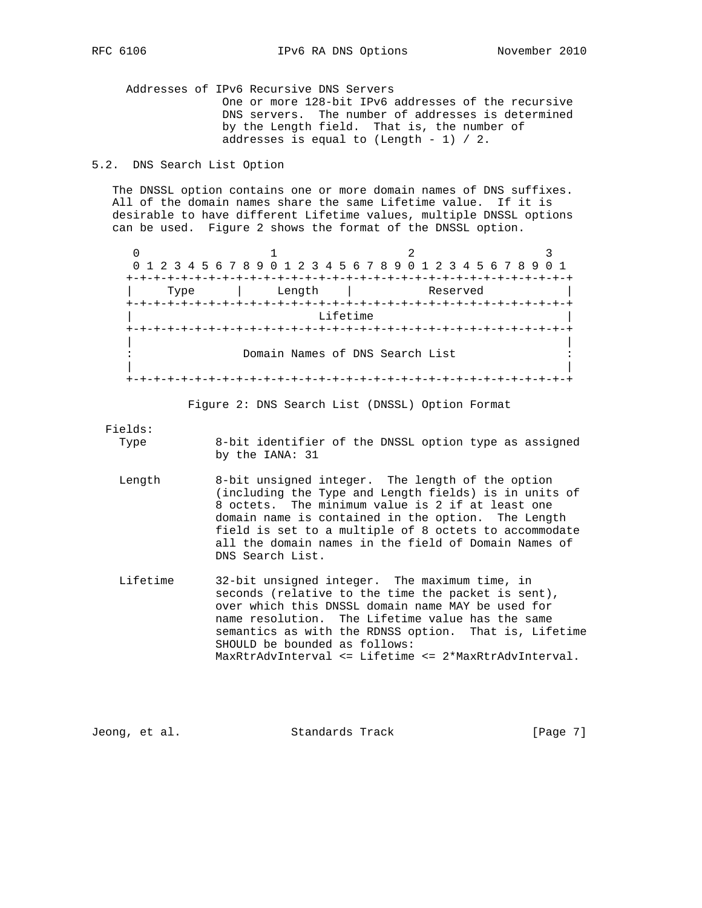Addresses of IPv6 Recursive DNS Servers One or more 128-bit IPv6 addresses of the recursive DNS servers. The number of addresses is determined by the Length field. That is, the number of addresses is equal to (Length - 1) / 2.

# 5.2. DNS Search List Option

 The DNSSL option contains one or more domain names of DNS suffixes. All of the domain names share the same Lifetime value. If it is desirable to have different Lifetime values, multiple DNSSL options can be used. Figure 2 shows the format of the DNSSL option.

0  $1$   $2$   $3$  0 1 2 3 4 5 6 7 8 9 0 1 2 3 4 5 6 7 8 9 0 1 2 3 4 5 6 7 8 9 0 1 +-+-+-+-+-+-+-+-+-+-+-+-+-+-+-+-+-+-+-+-+-+-+-+-+-+-+-+-+-+-+-+-+ | Type | Length | Reserved | +-+-+-+-+-+-+-+-+-+-+-+-+-+-+-+-+-+-+-+-+-+-+-+-+-+-+-+-+-+-+-+-+ Lifetime +-+-+-+-+-+-+-+-+-+-+-+-+-+-+-+-+-+-+-+-+-+-+-+-+-+-+-+-+-+-+-+-+ | | Domain Names of DNS Search List | | +-+-+-+-+-+-+-+-+-+-+-+-+-+-+-+-+-+-+-+-+-+-+-+-+-+-+-+-+-+-+-+-+

Figure 2: DNS Search List (DNSSL) Option Format

Fields:

8-bit identifier of the DNSSL option type as assigned by the IANA: 31

- Length 8-bit unsigned integer. The length of the option (including the Type and Length fields) is in units of 8 octets. The minimum value is 2 if at least one domain name is contained in the option. The Length field is set to a multiple of 8 octets to accommodate all the domain names in the field of Domain Names of DNS Search List.
- Lifetime 32-bit unsigned integer. The maximum time, in seconds (relative to the time the packet is sent), over which this DNSSL domain name MAY be used for name resolution. The Lifetime value has the same semantics as with the RDNSS option. That is, Lifetime SHOULD be bounded as follows: MaxRtrAdvInterval <= Lifetime <= 2\*MaxRtrAdvInterval.

Jeong, et al. Standards Track [Page 7]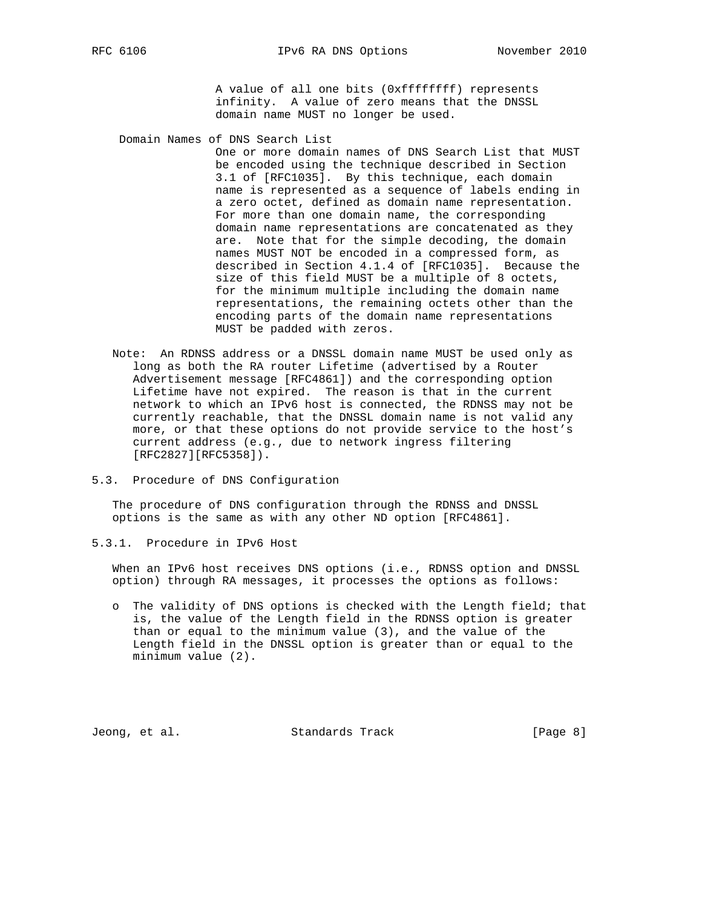A value of all one bits (0xffffffff) represents infinity. A value of zero means that the DNSSL domain name MUST no longer be used.

Domain Names of DNS Search List

 One or more domain names of DNS Search List that MUST be encoded using the technique described in Section 3.1 of [RFC1035]. By this technique, each domain name is represented as a sequence of labels ending in a zero octet, defined as domain name representation. For more than one domain name, the corresponding domain name representations are concatenated as they are. Note that for the simple decoding, the domain names MUST NOT be encoded in a compressed form, as described in Section 4.1.4 of [RFC1035]. Because the size of this field MUST be a multiple of 8 octets, for the minimum multiple including the domain name representations, the remaining octets other than the encoding parts of the domain name representations MUST be padded with zeros.

- Note: An RDNSS address or a DNSSL domain name MUST be used only as long as both the RA router Lifetime (advertised by a Router Advertisement message [RFC4861]) and the corresponding option Lifetime have not expired. The reason is that in the current network to which an IPv6 host is connected, the RDNSS may not be currently reachable, that the DNSSL domain name is not valid any more, or that these options do not provide service to the host's current address (e.g., due to network ingress filtering [RFC2827][RFC5358]).
- 5.3. Procedure of DNS Configuration

 The procedure of DNS configuration through the RDNSS and DNSSL options is the same as with any other ND option [RFC4861].

5.3.1. Procedure in IPv6 Host

 When an IPv6 host receives DNS options (i.e., RDNSS option and DNSSL option) through RA messages, it processes the options as follows:

 o The validity of DNS options is checked with the Length field; that is, the value of the Length field in the RDNSS option is greater than or equal to the minimum value (3), and the value of the Length field in the DNSSL option is greater than or equal to the minimum value (2).

Jeong, et al. Standards Track [Page 8]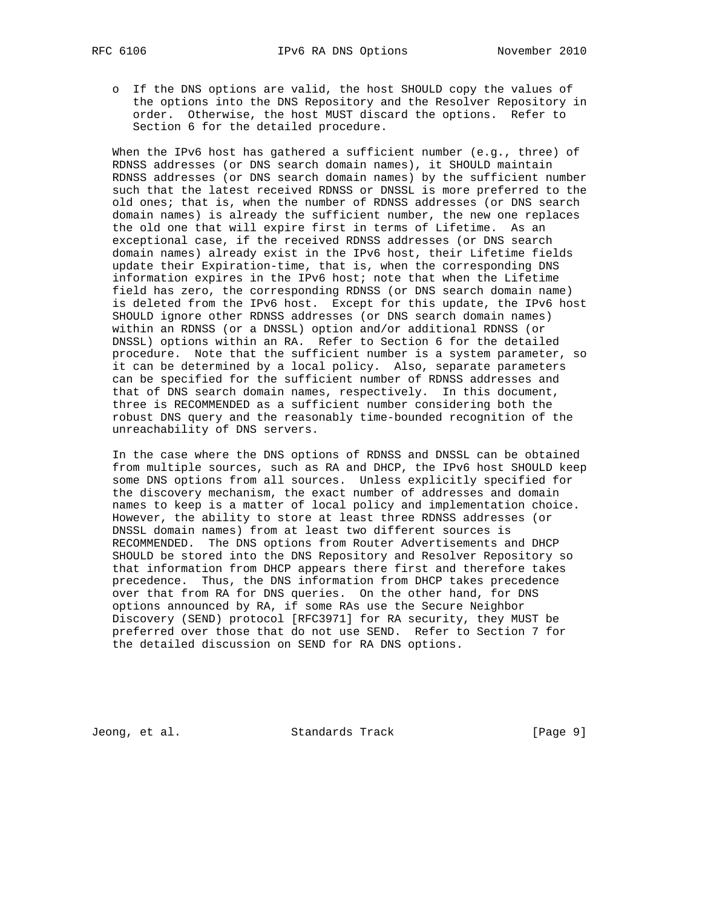o If the DNS options are valid, the host SHOULD copy the values of the options into the DNS Repository and the Resolver Repository in order. Otherwise, the host MUST discard the options. Refer to Section 6 for the detailed procedure.

 When the IPv6 host has gathered a sufficient number (e.g., three) of RDNSS addresses (or DNS search domain names), it SHOULD maintain RDNSS addresses (or DNS search domain names) by the sufficient number such that the latest received RDNSS or DNSSL is more preferred to the old ones; that is, when the number of RDNSS addresses (or DNS search domain names) is already the sufficient number, the new one replaces the old one that will expire first in terms of Lifetime. As an exceptional case, if the received RDNSS addresses (or DNS search domain names) already exist in the IPv6 host, their Lifetime fields update their Expiration-time, that is, when the corresponding DNS information expires in the IPv6 host; note that when the Lifetime field has zero, the corresponding RDNSS (or DNS search domain name) is deleted from the IPv6 host. Except for this update, the IPv6 host SHOULD ignore other RDNSS addresses (or DNS search domain names) within an RDNSS (or a DNSSL) option and/or additional RDNSS (or DNSSL) options within an RA. Refer to Section 6 for the detailed procedure. Note that the sufficient number is a system parameter, so it can be determined by a local policy. Also, separate parameters can be specified for the sufficient number of RDNSS addresses and that of DNS search domain names, respectively. In this document, three is RECOMMENDED as a sufficient number considering both the robust DNS query and the reasonably time-bounded recognition of the unreachability of DNS servers.

 In the case where the DNS options of RDNSS and DNSSL can be obtained from multiple sources, such as RA and DHCP, the IPv6 host SHOULD keep some DNS options from all sources. Unless explicitly specified for the discovery mechanism, the exact number of addresses and domain names to keep is a matter of local policy and implementation choice. However, the ability to store at least three RDNSS addresses (or DNSSL domain names) from at least two different sources is RECOMMENDED. The DNS options from Router Advertisements and DHCP SHOULD be stored into the DNS Repository and Resolver Repository so that information from DHCP appears there first and therefore takes precedence. Thus, the DNS information from DHCP takes precedence over that from RA for DNS queries. On the other hand, for DNS options announced by RA, if some RAs use the Secure Neighbor Discovery (SEND) protocol [RFC3971] for RA security, they MUST be preferred over those that do not use SEND. Refer to Section 7 for the detailed discussion on SEND for RA DNS options.

Jeong, et al. Standards Track [Page 9]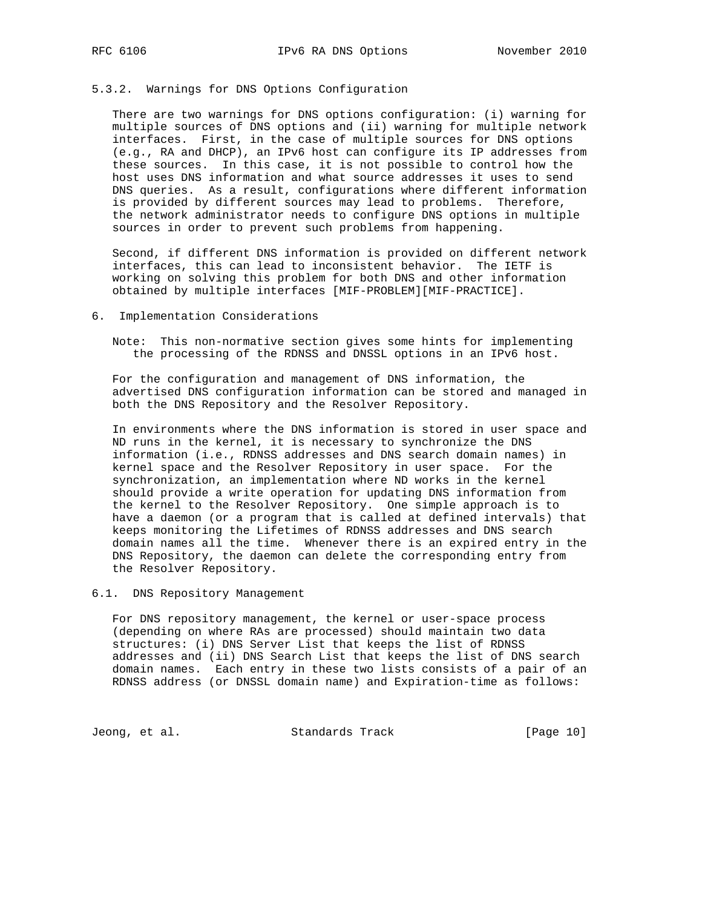# 5.3.2. Warnings for DNS Options Configuration

 There are two warnings for DNS options configuration: (i) warning for multiple sources of DNS options and (ii) warning for multiple network interfaces. First, in the case of multiple sources for DNS options (e.g., RA and DHCP), an IPv6 host can configure its IP addresses from these sources. In this case, it is not possible to control how the host uses DNS information and what source addresses it uses to send DNS queries. As a result, configurations where different information is provided by different sources may lead to problems. Therefore, the network administrator needs to configure DNS options in multiple sources in order to prevent such problems from happening.

 Second, if different DNS information is provided on different network interfaces, this can lead to inconsistent behavior. The IETF is working on solving this problem for both DNS and other information obtained by multiple interfaces [MIF-PROBLEM][MIF-PRACTICE].

#### 6. Implementation Considerations

 Note: This non-normative section gives some hints for implementing the processing of the RDNSS and DNSSL options in an IPv6 host.

 For the configuration and management of DNS information, the advertised DNS configuration information can be stored and managed in both the DNS Repository and the Resolver Repository.

 In environments where the DNS information is stored in user space and ND runs in the kernel, it is necessary to synchronize the DNS information (i.e., RDNSS addresses and DNS search domain names) in kernel space and the Resolver Repository in user space. For the synchronization, an implementation where ND works in the kernel should provide a write operation for updating DNS information from the kernel to the Resolver Repository. One simple approach is to have a daemon (or a program that is called at defined intervals) that keeps monitoring the Lifetimes of RDNSS addresses and DNS search domain names all the time. Whenever there is an expired entry in the DNS Repository, the daemon can delete the corresponding entry from the Resolver Repository.

#### 6.1. DNS Repository Management

 For DNS repository management, the kernel or user-space process (depending on where RAs are processed) should maintain two data structures: (i) DNS Server List that keeps the list of RDNSS addresses and (ii) DNS Search List that keeps the list of DNS search domain names. Each entry in these two lists consists of a pair of an RDNSS address (or DNSSL domain name) and Expiration-time as follows:

Jeong, et al. Standards Track [Page 10]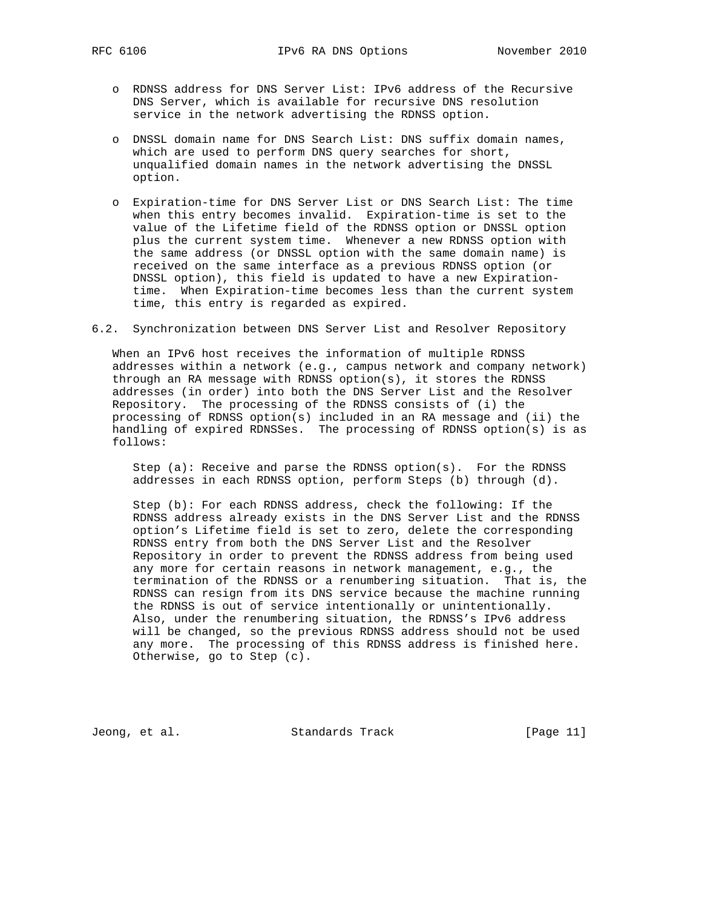- o RDNSS address for DNS Server List: IPv6 address of the Recursive DNS Server, which is available for recursive DNS resolution service in the network advertising the RDNSS option.
- o DNSSL domain name for DNS Search List: DNS suffix domain names, which are used to perform DNS query searches for short, unqualified domain names in the network advertising the DNSSL option.
- o Expiration-time for DNS Server List or DNS Search List: The time when this entry becomes invalid. Expiration-time is set to the value of the Lifetime field of the RDNSS option or DNSSL option plus the current system time. Whenever a new RDNSS option with the same address (or DNSSL option with the same domain name) is received on the same interface as a previous RDNSS option (or DNSSL option), this field is updated to have a new Expiration time. When Expiration-time becomes less than the current system time, this entry is regarded as expired.
- 6.2. Synchronization between DNS Server List and Resolver Repository

 When an IPv6 host receives the information of multiple RDNSS addresses within a network (e.g., campus network and company network) through an RA message with RDNSS option(s), it stores the RDNSS addresses (in order) into both the DNS Server List and the Resolver Repository. The processing of the RDNSS consists of (i) the processing of RDNSS option(s) included in an RA message and (ii) the handling of expired RDNSSes. The processing of RDNSS option(s) is as follows:

 Step (a): Receive and parse the RDNSS option(s). For the RDNSS addresses in each RDNSS option, perform Steps (b) through (d).

 Step (b): For each RDNSS address, check the following: If the RDNSS address already exists in the DNS Server List and the RDNSS option's Lifetime field is set to zero, delete the corresponding RDNSS entry from both the DNS Server List and the Resolver Repository in order to prevent the RDNSS address from being used any more for certain reasons in network management, e.g., the termination of the RDNSS or a renumbering situation. That is, the RDNSS can resign from its DNS service because the machine running the RDNSS is out of service intentionally or unintentionally. Also, under the renumbering situation, the RDNSS's IPv6 address will be changed, so the previous RDNSS address should not be used any more. The processing of this RDNSS address is finished here. Otherwise, go to Step (c).

Jeong, et al. Standards Track [Page 11]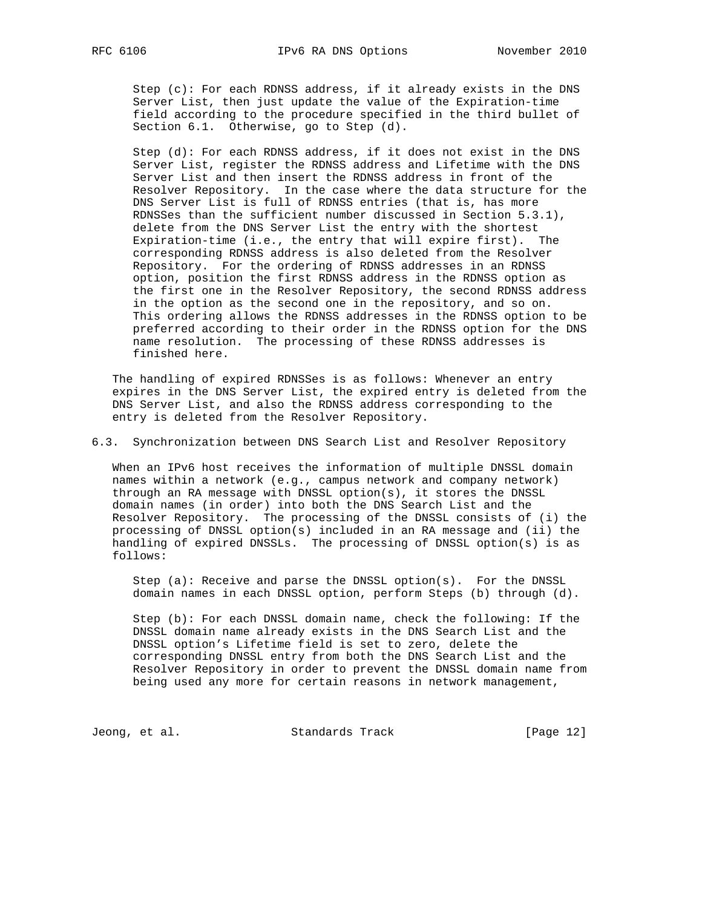Step (c): For each RDNSS address, if it already exists in the DNS Server List, then just update the value of the Expiration-time field according to the procedure specified in the third bullet of Section 6.1. Otherwise, go to Step (d).

 Step (d): For each RDNSS address, if it does not exist in the DNS Server List, register the RDNSS address and Lifetime with the DNS Server List and then insert the RDNSS address in front of the Resolver Repository. In the case where the data structure for the DNS Server List is full of RDNSS entries (that is, has more RDNSSes than the sufficient number discussed in Section 5.3.1), delete from the DNS Server List the entry with the shortest Expiration-time (i.e., the entry that will expire first). The corresponding RDNSS address is also deleted from the Resolver Repository. For the ordering of RDNSS addresses in an RDNSS option, position the first RDNSS address in the RDNSS option as the first one in the Resolver Repository, the second RDNSS address in the option as the second one in the repository, and so on. This ordering allows the RDNSS addresses in the RDNSS option to be preferred according to their order in the RDNSS option for the DNS name resolution. The processing of these RDNSS addresses is finished here.

 The handling of expired RDNSSes is as follows: Whenever an entry expires in the DNS Server List, the expired entry is deleted from the DNS Server List, and also the RDNSS address corresponding to the entry is deleted from the Resolver Repository.

6.3. Synchronization between DNS Search List and Resolver Repository

 When an IPv6 host receives the information of multiple DNSSL domain names within a network (e.g., campus network and company network) through an RA message with DNSSL option(s), it stores the DNSSL domain names (in order) into both the DNS Search List and the Resolver Repository. The processing of the DNSSL consists of (i) the processing of DNSSL option(s) included in an RA message and (ii) the handling of expired DNSSLs. The processing of DNSSL option(s) is as follows:

 Step (a): Receive and parse the DNSSL option(s). For the DNSSL domain names in each DNSSL option, perform Steps (b) through (d).

 Step (b): For each DNSSL domain name, check the following: If the DNSSL domain name already exists in the DNS Search List and the DNSSL option's Lifetime field is set to zero, delete the corresponding DNSSL entry from both the DNS Search List and the Resolver Repository in order to prevent the DNSSL domain name from being used any more for certain reasons in network management,

Jeong, et al. Standards Track [Page 12]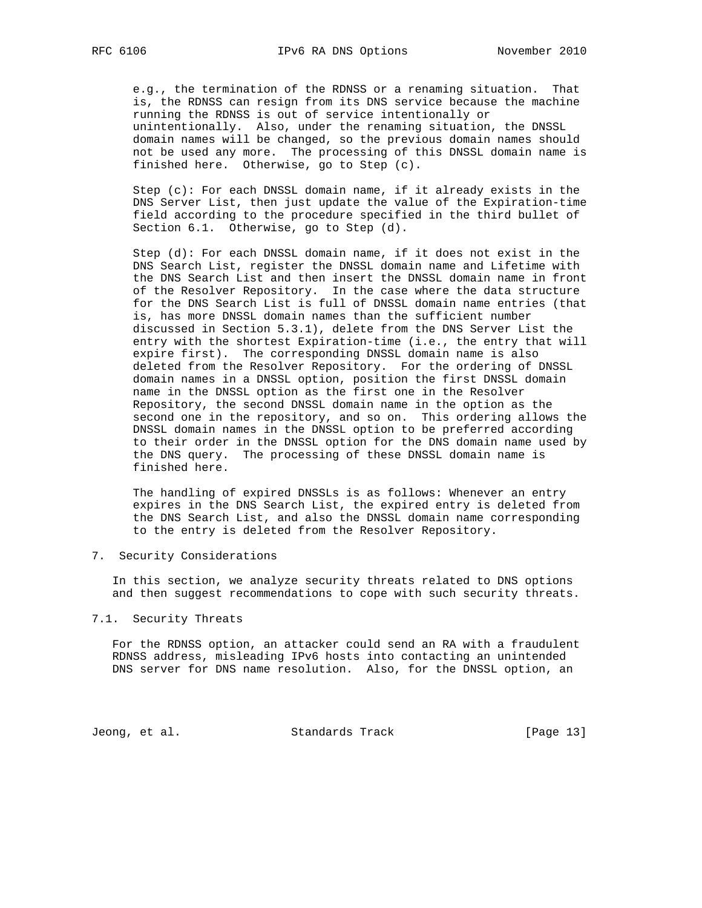e.g., the termination of the RDNSS or a renaming situation. That is, the RDNSS can resign from its DNS service because the machine running the RDNSS is out of service intentionally or unintentionally. Also, under the renaming situation, the DNSSL domain names will be changed, so the previous domain names should not be used any more. The processing of this DNSSL domain name is finished here. Otherwise, go to Step (c).

Step  $(c)$ : For each DNSSL domain name, if it already exists in the DNS Server List, then just update the value of the Expiration-time field according to the procedure specified in the third bullet of Section 6.1. Otherwise, go to Step (d).

 Step (d): For each DNSSL domain name, if it does not exist in the DNS Search List, register the DNSSL domain name and Lifetime with the DNS Search List and then insert the DNSSL domain name in front of the Resolver Repository. In the case where the data structure for the DNS Search List is full of DNSSL domain name entries (that is, has more DNSSL domain names than the sufficient number discussed in Section 5.3.1), delete from the DNS Server List the entry with the shortest Expiration-time (i.e., the entry that will expire first). The corresponding DNSSL domain name is also deleted from the Resolver Repository. For the ordering of DNSSL domain names in a DNSSL option, position the first DNSSL domain name in the DNSSL option as the first one in the Resolver Repository, the second DNSSL domain name in the option as the second one in the repository, and so on. This ordering allows the DNSSL domain names in the DNSSL option to be preferred according to their order in the DNSSL option for the DNS domain name used by the DNS query. The processing of these DNSSL domain name is finished here.

 The handling of expired DNSSLs is as follows: Whenever an entry expires in the DNS Search List, the expired entry is deleted from the DNS Search List, and also the DNSSL domain name corresponding to the entry is deleted from the Resolver Repository.

7. Security Considerations

 In this section, we analyze security threats related to DNS options and then suggest recommendations to cope with such security threats.

### 7.1. Security Threats

 For the RDNSS option, an attacker could send an RA with a fraudulent RDNSS address, misleading IPv6 hosts into contacting an unintended DNS server for DNS name resolution. Also, for the DNSSL option, an

Jeong, et al. Standards Track [Page 13]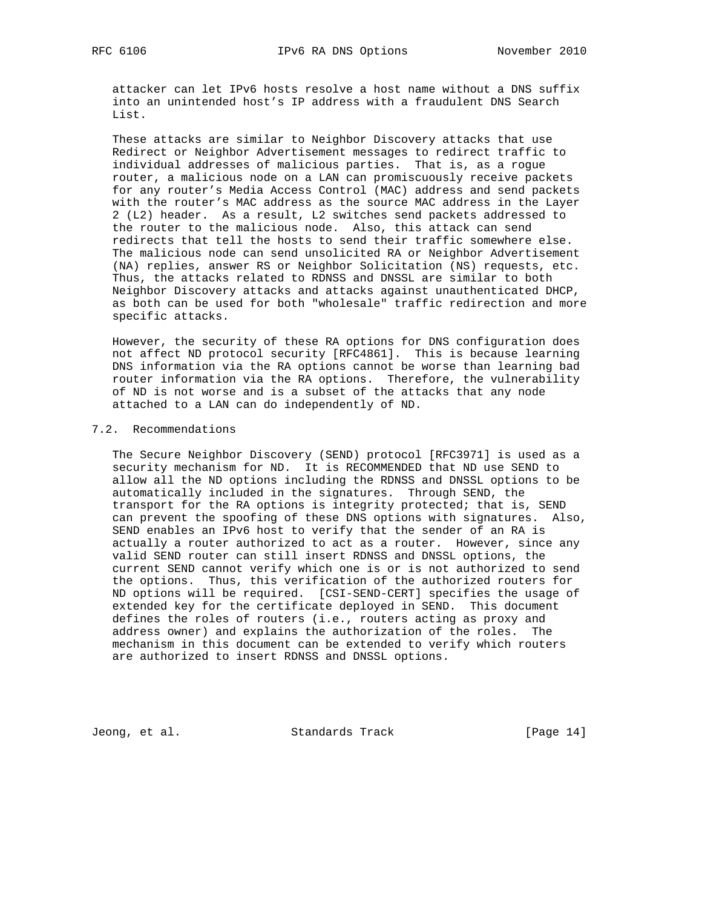attacker can let IPv6 hosts resolve a host name without a DNS suffix into an unintended host's IP address with a fraudulent DNS Search List.

 These attacks are similar to Neighbor Discovery attacks that use Redirect or Neighbor Advertisement messages to redirect traffic to individual addresses of malicious parties. That is, as a rogue router, a malicious node on a LAN can promiscuously receive packets for any router's Media Access Control (MAC) address and send packets with the router's MAC address as the source MAC address in the Layer 2 (L2) header. As a result, L2 switches send packets addressed to the router to the malicious node. Also, this attack can send redirects that tell the hosts to send their traffic somewhere else. The malicious node can send unsolicited RA or Neighbor Advertisement (NA) replies, answer RS or Neighbor Solicitation (NS) requests, etc. Thus, the attacks related to RDNSS and DNSSL are similar to both Neighbor Discovery attacks and attacks against unauthenticated DHCP, as both can be used for both "wholesale" traffic redirection and more specific attacks.

 However, the security of these RA options for DNS configuration does not affect ND protocol security [RFC4861]. This is because learning DNS information via the RA options cannot be worse than learning bad router information via the RA options. Therefore, the vulnerability of ND is not worse and is a subset of the attacks that any node attached to a LAN can do independently of ND.

## 7.2. Recommendations

 The Secure Neighbor Discovery (SEND) protocol [RFC3971] is used as a security mechanism for ND. It is RECOMMENDED that ND use SEND to allow all the ND options including the RDNSS and DNSSL options to be automatically included in the signatures. Through SEND, the transport for the RA options is integrity protected; that is, SEND can prevent the spoofing of these DNS options with signatures. Also, SEND enables an IPv6 host to verify that the sender of an RA is actually a router authorized to act as a router. However, since any valid SEND router can still insert RDNSS and DNSSL options, the current SEND cannot verify which one is or is not authorized to send the options. Thus, this verification of the authorized routers for ND options will be required. [CSI-SEND-CERT] specifies the usage of extended key for the certificate deployed in SEND. This document defines the roles of routers (i.e., routers acting as proxy and address owner) and explains the authorization of the roles. The mechanism in this document can be extended to verify which routers are authorized to insert RDNSS and DNSSL options.

Jeong, et al. Standards Track [Page 14]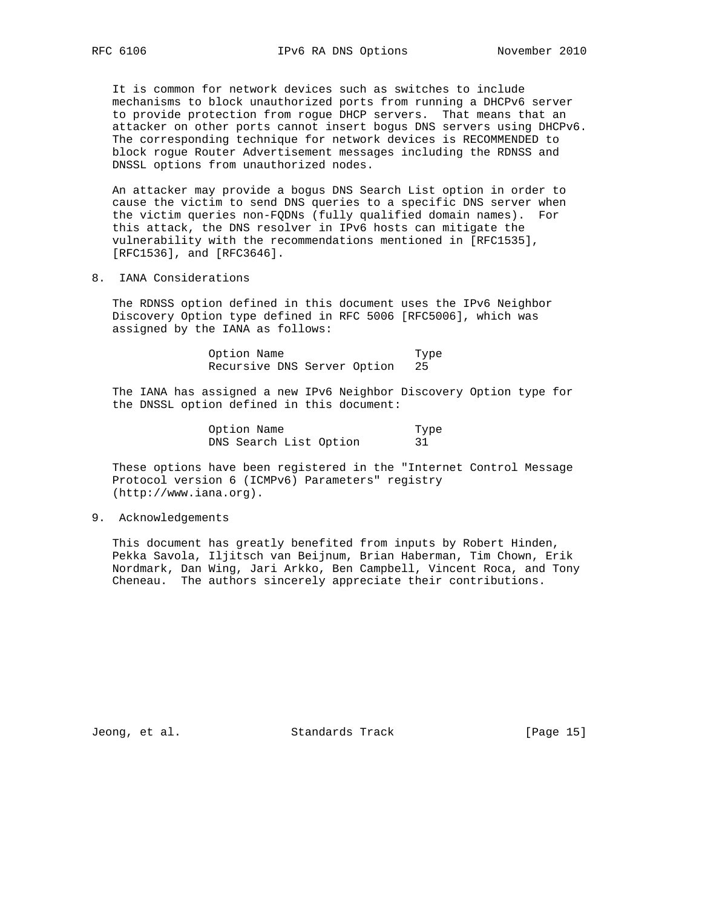It is common for network devices such as switches to include mechanisms to block unauthorized ports from running a DHCPv6 server to provide protection from rogue DHCP servers. That means that an attacker on other ports cannot insert bogus DNS servers using DHCPv6. The corresponding technique for network devices is RECOMMENDED to block rogue Router Advertisement messages including the RDNSS and DNSSL options from unauthorized nodes.

 An attacker may provide a bogus DNS Search List option in order to cause the victim to send DNS queries to a specific DNS server when the victim queries non-FQDNs (fully qualified domain names). For this attack, the DNS resolver in IPv6 hosts can mitigate the vulnerability with the recommendations mentioned in [RFC1535], [RFC1536], and [RFC3646].

8. IANA Considerations

 The RDNSS option defined in this document uses the IPv6 Neighbor Discovery Option type defined in RFC 5006 [RFC5006], which was assigned by the IANA as follows:

> Option Name Type Recursive DNS Server Option 25

 The IANA has assigned a new IPv6 Neighbor Discovery Option type for the DNSSL option defined in this document:

> Option Name Type<br>DNS Search List Option 31 DNS Search List Option

 These options have been registered in the "Internet Control Message Protocol version 6 (ICMPv6) Parameters" registry (http://www.iana.org).

9. Acknowledgements

 This document has greatly benefited from inputs by Robert Hinden, Pekka Savola, Iljitsch van Beijnum, Brian Haberman, Tim Chown, Erik Nordmark, Dan Wing, Jari Arkko, Ben Campbell, Vincent Roca, and Tony Cheneau. The authors sincerely appreciate their contributions.

Jeong, et al. Standards Track [Page 15]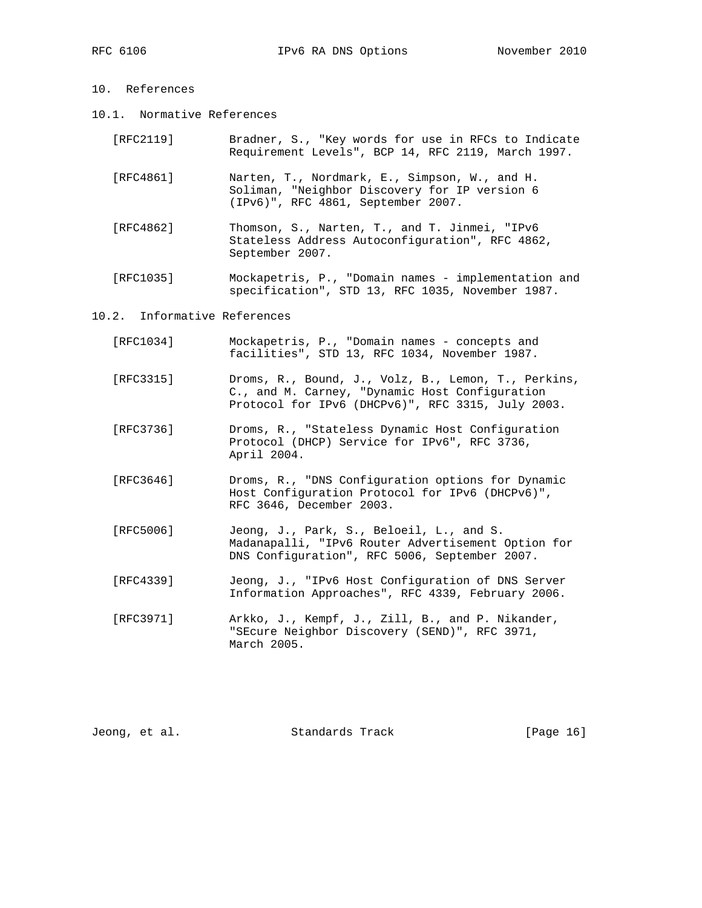- 10. References
- 10.1. Normative References

| [RFC2119] | Bradner, S., "Key words for use in RFCs to Indicate |  |  |  |  |  |  |
|-----------|-----------------------------------------------------|--|--|--|--|--|--|
|           | Requirement Levels", BCP 14, RFC 2119, March 1997.  |  |  |  |  |  |  |

- [RFC4861] Narten, T., Nordmark, E., Simpson, W., and H. Soliman, "Neighbor Discovery for IP version 6 (IPv6)", RFC 4861, September 2007.
- [RFC4862] Thomson, S., Narten, T., and T. Jinmei, "IPv6 Stateless Address Autoconfiguration", RFC 4862, September 2007.
- [RFC1035] Mockapetris, P., "Domain names implementation and specification", STD 13, RFC 1035, November 1987.

#### 10.2. Informative References

| [RFC1034] | Mockapetris, P., "Domain names - concepts and |  |  |  |  |  |
|-----------|-----------------------------------------------|--|--|--|--|--|
|           | facilities", STD 13, RFC 1034, November 1987. |  |  |  |  |  |

- [RFC3315] Droms, R., Bound, J., Volz, B., Lemon, T., Perkins, C., and M. Carney, "Dynamic Host Configuration Protocol for IPv6 (DHCPv6)", RFC 3315, July 2003.
- [RFC3736] Droms, R., "Stateless Dynamic Host Configuration Protocol (DHCP) Service for IPv6", RFC 3736, April 2004.
- [RFC3646] Droms, R., "DNS Configuration options for Dynamic Host Configuration Protocol for IPv6 (DHCPv6)", RFC 3646, December 2003.
- [RFC5006] Jeong, J., Park, S., Beloeil, L., and S. Madanapalli, "IPv6 Router Advertisement Option for DNS Configuration", RFC 5006, September 2007.
- [RFC4339] Jeong, J., "IPv6 Host Configuration of DNS Server Information Approaches", RFC 4339, February 2006.
- [RFC3971] Arkko, J., Kempf, J., Zill, B., and P. Nikander, "SEcure Neighbor Discovery (SEND)", RFC 3971, March 2005.

| Jeong, et al. |  | Standards Track | [Page 16] |  |
|---------------|--|-----------------|-----------|--|
|---------------|--|-----------------|-----------|--|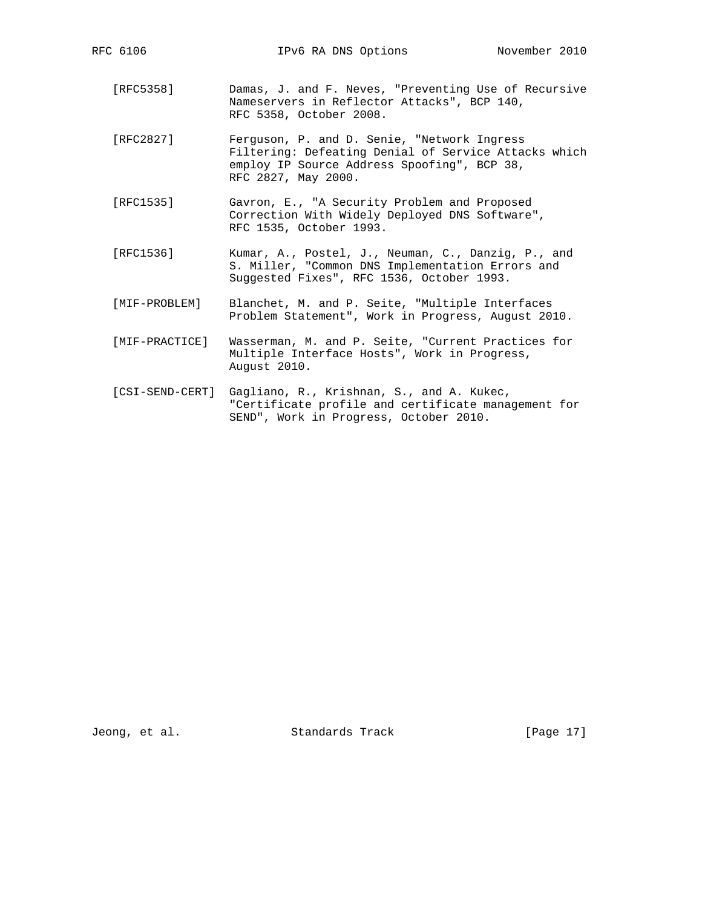- [RFC5358] Damas, J. and F. Neves, "Preventing Use of Recursive Nameservers in Reflector Attacks", BCP 140, RFC 5358, October 2008.
- [RFC2827] Ferguson, P. and D. Senie, "Network Ingress Filtering: Defeating Denial of Service Attacks which employ IP Source Address Spoofing", BCP 38, RFC 2827, May 2000.
- [RFC1535] Gavron, E., "A Security Problem and Proposed Correction With Widely Deployed DNS Software", RFC 1535, October 1993.
- [RFC1536] Kumar, A., Postel, J., Neuman, C., Danzig, P., and S. Miller, "Common DNS Implementation Errors and Suggested Fixes", RFC 1536, October 1993.
	- [MIF-PROBLEM] Blanchet, M. and P. Seite, "Multiple Interfaces Problem Statement", Work in Progress, August 2010.
	- [MIF-PRACTICE] Wasserman, M. and P. Seite, "Current Practices for Multiple Interface Hosts", Work in Progress, August 2010.
	- [CSI-SEND-CERT] Gagliano, R., Krishnan, S., and A. Kukec, "Certificate profile and certificate management for SEND", Work in Progress, October 2010.

Jeong, et al. Standards Track [Page 17]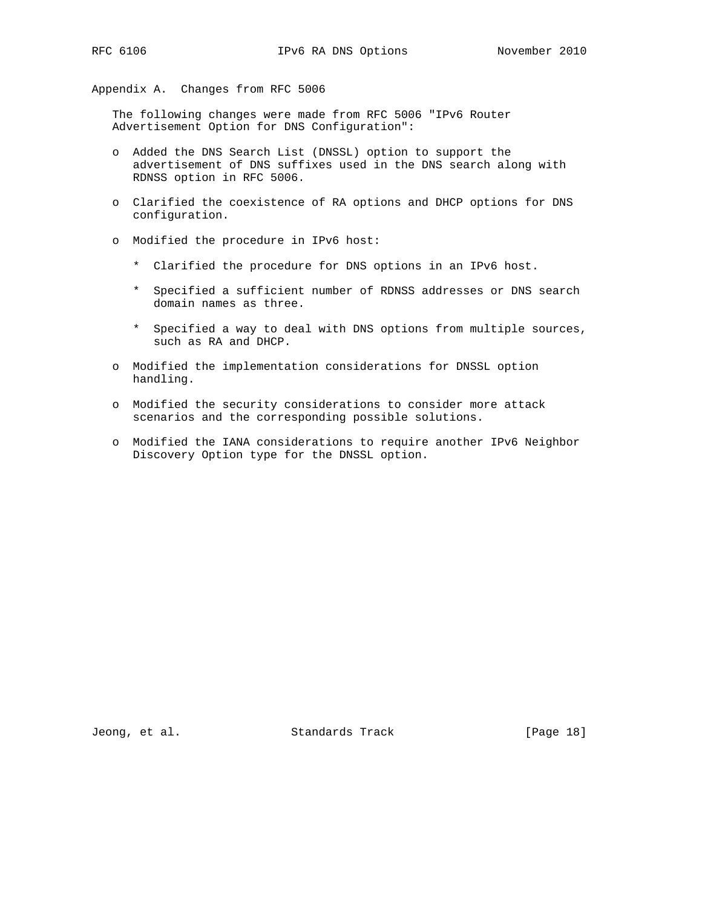Appendix A. Changes from RFC 5006

 The following changes were made from RFC 5006 "IPv6 Router Advertisement Option for DNS Configuration":

- o Added the DNS Search List (DNSSL) option to support the advertisement of DNS suffixes used in the DNS search along with RDNSS option in RFC 5006.
- o Clarified the coexistence of RA options and DHCP options for DNS configuration.
- o Modified the procedure in IPv6 host:
	- \* Clarified the procedure for DNS options in an IPv6 host.
	- \* Specified a sufficient number of RDNSS addresses or DNS search domain names as three.
	- \* Specified a way to deal with DNS options from multiple sources, such as RA and DHCP.
- o Modified the implementation considerations for DNSSL option handling.
- o Modified the security considerations to consider more attack scenarios and the corresponding possible solutions.
- o Modified the IANA considerations to require another IPv6 Neighbor Discovery Option type for the DNSSL option.

Jeong, et al. Standards Track [Page 18]